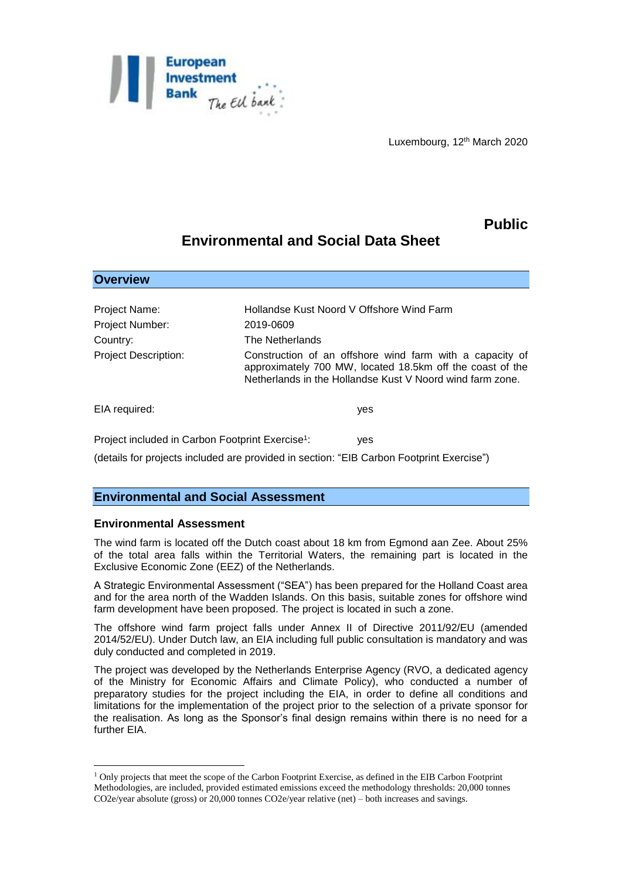

Luxembourg, 12th March 2020

## **Public**

# **Environmental and Social Data Sheet**

| <b>Overview</b>                                              |                                                                                                                                                                                    |
|--------------------------------------------------------------|------------------------------------------------------------------------------------------------------------------------------------------------------------------------------------|
|                                                              |                                                                                                                                                                                    |
| Project Name:                                                | Hollandse Kust Noord V Offshore Wind Farm                                                                                                                                          |
| Project Number:                                              | 2019-0609                                                                                                                                                                          |
| Country:                                                     | The Netherlands                                                                                                                                                                    |
| <b>Project Description:</b>                                  | Construction of an offshore wind farm with a capacity of<br>approximately 700 MW, located 18.5km off the coast of the<br>Netherlands in the Hollandse Kust V Noord wind farm zone. |
| EIA required:                                                | yes                                                                                                                                                                                |
| Project included in Carbon Footprint Exercise <sup>1</sup> : | yes                                                                                                                                                                                |

(details for projects included are provided in section: "EIB Carbon Footprint Exercise")

## **Environmental and Social Assessment**

### **Environmental Assessment**

1

The wind farm is located off the Dutch coast about 18 km from Egmond aan Zee. About 25% of the total area falls within the Territorial Waters, the remaining part is located in the Exclusive Economic Zone (EEZ) of the Netherlands.

A Strategic Environmental Assessment ("SEA") has been prepared for the Holland Coast area and for the area north of the Wadden Islands. On this basis, suitable zones for offshore wind farm development have been proposed. The project is located in such a zone.

The offshore wind farm project falls under Annex II of Directive 2011/92/EU (amended 2014/52/EU). Under Dutch law, an EIA including full public consultation is mandatory and was duly conducted and completed in 2019.

The project was developed by the Netherlands Enterprise Agency (RVO, a dedicated agency of the Ministry for Economic Affairs and Climate Policy), who conducted a number of preparatory studies for the project including the EIA, in order to define all conditions and limitations for the implementation of the project prior to the selection of a private sponsor for the realisation. As long as the Sponsor's final design remains within there is no need for a further EIA.

<sup>1</sup> Only projects that meet the scope of the Carbon Footprint Exercise, as defined in the EIB Carbon Footprint Methodologies, are included, provided estimated emissions exceed the methodology thresholds: 20,000 tonnes CO2e/year absolute (gross) or 20,000 tonnes CO2e/year relative (net) – both increases and savings.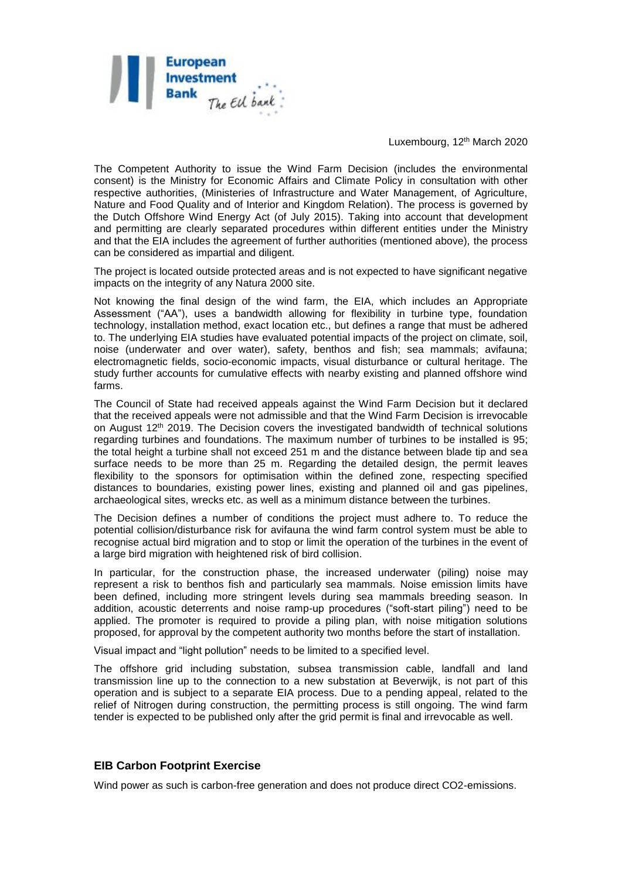

Luxembourg, 12th March 2020

The Competent Authority to issue the Wind Farm Decision (includes the environmental consent) is the Ministry for Economic Affairs and Climate Policy in consultation with other respective authorities, (Ministeries of Infrastructure and Water Management, of Agriculture, Nature and Food Quality and of Interior and Kingdom Relation). The process is governed by the Dutch Offshore Wind Energy Act (of July 2015). Taking into account that development and permitting are clearly separated procedures within different entities under the Ministry and that the EIA includes the agreement of further authorities (mentioned above), the process can be considered as impartial and diligent.

The project is located outside protected areas and is not expected to have significant negative impacts on the integrity of any Natura 2000 site.

Not knowing the final design of the wind farm, the EIA, which includes an Appropriate Assessment ("AA"), uses a bandwidth allowing for flexibility in turbine type, foundation technology, installation method, exact location etc., but defines a range that must be adhered to. The underlying EIA studies have evaluated potential impacts of the project on climate, soil, noise (underwater and over water), safety, benthos and fish; sea mammals; avifauna; electromagnetic fields, socio-economic impacts, visual disturbance or cultural heritage. The study further accounts for cumulative effects with nearby existing and planned offshore wind farms.

The Council of State had received appeals against the Wind Farm Decision but it declared that the received appeals were not admissible and that the Wind Farm Decision is irrevocable on August 12th 2019. The Decision covers the investigated bandwidth of technical solutions regarding turbines and foundations. The maximum number of turbines to be installed is 95; the total height a turbine shall not exceed 251 m and the distance between blade tip and sea surface needs to be more than 25 m. Regarding the detailed design, the permit leaves flexibility to the sponsors for optimisation within the defined zone, respecting specified distances to boundaries, existing power lines, existing and planned oil and gas pipelines, archaeological sites, wrecks etc. as well as a minimum distance between the turbines.

The Decision defines a number of conditions the project must adhere to. To reduce the potential collision/disturbance risk for avifauna the wind farm control system must be able to recognise actual bird migration and to stop or limit the operation of the turbines in the event of a large bird migration with heightened risk of bird collision.

In particular, for the construction phase, the increased underwater (piling) noise may represent a risk to benthos fish and particularly sea mammals. Noise emission limits have been defined, including more stringent levels during sea mammals breeding season. In addition, acoustic deterrents and noise ramp-up procedures ("soft-start piling") need to be applied. The promoter is required to provide a piling plan, with noise mitigation solutions proposed, for approval by the competent authority two months before the start of installation.

Visual impact and "light pollution" needs to be limited to a specified level.

The offshore grid including substation, subsea transmission cable, landfall and land transmission line up to the connection to a new substation at Beverwijk, is not part of this operation and is subject to a separate EIA process. Due to a pending appeal, related to the relief of Nitrogen during construction, the permitting process is still ongoing. The wind farm tender is expected to be published only after the grid permit is final and irrevocable as well.

### **EIB Carbon Footprint Exercise**

Wind power as such is carbon-free generation and does not produce direct CO2-emissions.